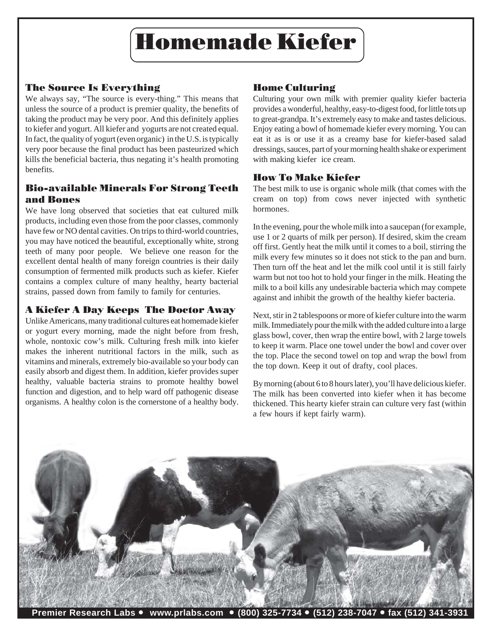

# The Source Is Everything

We always say, "The source is every-thing." This means that unless the source of a product is premier quality, the benefits of taking the product may be very poor. And this definitely applies to kiefer and yogurt. All kiefer and yogurts are not created equal. In fact, the quality of yogurt (even organic) in the U.S. is typically very poor because the final product has been pasteurized which kills the beneficial bacteria, thus negating it's health promoting benefits.

# Bio-available Minerals For Strong Teeth and Bones

We have long observed that societies that eat cultured milk products, including even those from the poor classes, commonly have few or NO dental cavities. On trips to third-world countries, you may have noticed the beautiful, exceptionally white, strong teeth of many poor people. We believe one reason for the excellent dental health of many foreign countries is their daily consumption of fermented milk products such as kiefer. Kiefer contains a complex culture of many healthy, hearty bacterial strains, passed down from family to family for centuries.

## A Kiefer A Day Keeps The Doctor Away

Unlike Americans, many traditional cultures eat homemade kiefer or yogurt every morning, made the night before from fresh, whole, nontoxic cow's milk. Culturing fresh milk into kiefer makes the inherent nutritional factors in the milk, such as vitamins and minerals, extremely bio-available so your body can easily absorb and digest them. In addition, kiefer provides super healthy, valuable bacteria strains to promote healthy bowel function and digestion, and to help ward off pathogenic disease organisms. A healthy colon is the cornerstone of a healthy body.

## Home Culturing

Culturing your own milk with premier quality kiefer bacteria provides a wonderful, healthy, easy-to-digest food, for little tots up to great-grandpa. It's extremely easy to make and tastes delicious. Enjoy eating a bowl of homemade kiefer every morning. You can eat it as is or use it as a creamy base for kiefer-based salad dressings, sauces, part of your morning health shake or experiment with making kiefer ice cream.

## How To Make Kiefer

The best milk to use is organic whole milk (that comes with the cream on top) from cows never injected with synthetic hormones.

In the evening, pour the whole milk into a saucepan (for example, use 1 or 2 quarts of milk per person). If desired, skim the cream off first. Gently heat the milk until it comes to a boil, stirring the milk every few minutes so it does not stick to the pan and burn. Then turn off the heat and let the milk cool until it is still fairly warm but not too hot to hold your finger in the milk. Heating the milk to a boil kills any undesirable bacteria which may compete against and inhibit the growth of the healthy kiefer bacteria.

Next, stir in 2 tablespoons or more of kiefer culture into the warm milk. Immediately pour the milk with the added culture into a large glass bowl, cover, then wrap the entire bowl, with 2 large towels to keep it warm. Place one towel under the bowl and cover over the top. Place the second towel on top and wrap the bowl from the top down. Keep it out of drafty, cool places.

By morning (about 6 to 8 hours later), you'll have delicious kiefer. The milk has been converted into kiefer when it has become thickened. This hearty kiefer strain can culture very fast (within a few hours if kept fairly warm).



**Premier Research Labs** • **www.prlabs.com** • **(800) 325-7734** • **(512) 238-7047** • **fax (512) 341-3931**